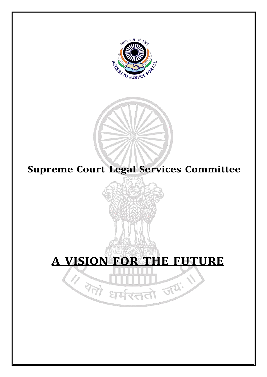

## **Supreme Court Legal Services Committee**

# **A VISION FOR THE FUTURE**

सततो जयः ।<br>सततो जयः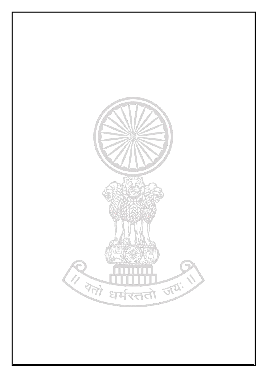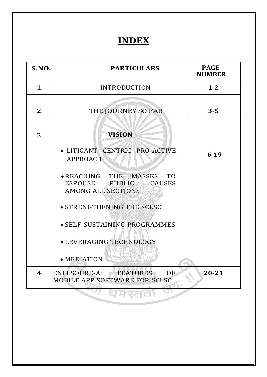## **INDEX**

| 1.<br>$1 - 2$<br><b>INTRODUCTION</b><br>THE JOURNEY SO FAR<br>$3 - 5$<br>2.<br><b>VISION</b><br>3.<br>· LITIGANT CENTRIC PRO-ACTIVE<br>$6 - 19$<br><b>APPROACH</b><br>• REACHING THE MASSES TO<br>ESPOUSE PUBLIC<br><b>CAUSES</b><br><b>AMONG ALL SECTIONS</b><br>• STRENGTHENING THE SCLSC<br>· SELF-SUSTAINING PROGRAMMES<br>· LEVERAGING TECHNOLOGY<br>• MEDIATION<br><b>ENCLSOURE-A:</b><br><b>FEATURES</b><br><b>OF</b><br>$20 - 21$<br>4.<br>MOBILE APP SOFTWARE FOR SCLSC | S.NO. | <b>PARTICULARS</b> | <b>PAGE</b><br><b>NUMBER</b> |
|----------------------------------------------------------------------------------------------------------------------------------------------------------------------------------------------------------------------------------------------------------------------------------------------------------------------------------------------------------------------------------------------------------------------------------------------------------------------------------|-------|--------------------|------------------------------|
|                                                                                                                                                                                                                                                                                                                                                                                                                                                                                  |       |                    |                              |
|                                                                                                                                                                                                                                                                                                                                                                                                                                                                                  |       |                    |                              |
|                                                                                                                                                                                                                                                                                                                                                                                                                                                                                  |       |                    |                              |
|                                                                                                                                                                                                                                                                                                                                                                                                                                                                                  |       |                    |                              |
|                                                                                                                                                                                                                                                                                                                                                                                                                                                                                  |       |                    |                              |
|                                                                                                                                                                                                                                                                                                                                                                                                                                                                                  |       |                    |                              |
|                                                                                                                                                                                                                                                                                                                                                                                                                                                                                  |       |                    |                              |
|                                                                                                                                                                                                                                                                                                                                                                                                                                                                                  |       |                    |                              |
|                                                                                                                                                                                                                                                                                                                                                                                                                                                                                  |       |                    |                              |
|                                                                                                                                                                                                                                                                                                                                                                                                                                                                                  |       |                    |                              |
|                                                                                                                                                                                                                                                                                                                                                                                                                                                                                  |       |                    |                              |
|                                                                                                                                                                                                                                                                                                                                                                                                                                                                                  |       |                    |                              |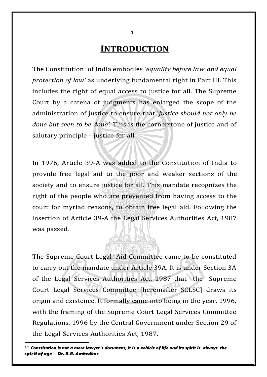**INTRODUCTION**

The Constitution1 of India embodies *'equality before law and equal protection of law'* as underlying fundamental right in Part III. This includes the right of equal access to justice for all. The Supreme Court by a catena of judgments has enlarged the scope of the administration of justice to ensure that '*justice should not only be done but seen to be done'.* This is the cornerstone of justice and of salutary principle - justice for all.

In 1976, Article 39-A was added to the Constitution of India to provide free legal aid to the poor and weaker sections of the society and to ensure justice for all. This mandate recognizes the right of the people who are prevented from having access to the court for myriad reasons, to obtain free legal aid. Following the insertion of Article 39-A the Legal Services Authorities Act, 1987 was passed.

The Supreme Court Legal Aid Committee came to be constituted to carry out the mandate under Article 39A. It is under Section 3A of the Legal Services Authorities Act, 1987 that the Supreme Court Legal Services Committee [hereinafter SCLSC] draws its origin and existence. It formally came into being in the year, 1996, with the framing of the Supreme Court Legal Services Committee Regulations, 1996 by the Central Government under Section 29 of the Legal Services Authorities Act, 1987.

<sup>1</sup> " *Constitution is not a mere lawyer's document, it is a vehicle of life and its spirit is always the spir it of age"- Dr. B.R. Ambedkar*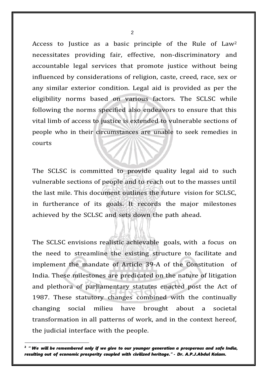Access to Justice as a basic principle of the Rule of Law<sup>2</sup> necessitates providing fair, effective, non-discriminatory and accountable legal services that promote justice without being influenced by considerations of religion, caste, creed, race, sex or any similar exterior condition. Legal aid is provided as per the eligibility norms based on various factors. The SCLSC while following the norms specified also endeavors to ensure that this vital limb of access to justice is extended to vulnerable sections of people who in their circumstances are unable to seek remedies in courts

The SCLSC is committed to provide quality legal aid to such vulnerable sections of people and to reach out to the masses until the last mile. This document outlines the future vision for SCLSC, in furtherance of its goals. It records the major milestones achieved by the SCLSC and sets down the path ahead.

The SCLSC envisions realistic achievable goals, with a focus on the need to streamline the existing structure to facilitate and implement the mandate of Article 39-A of the Constitution of India. These milestones are predicated on the nature of litigation and plethora of parliamentary statutes enacted post the Act of 1987. These statutory changes combined with the continually changing social milieu have brought about a societal transformation in all patterns of work, and in the context hereof, the judicial interface with the people.

<sup>2</sup> " *We will be remembered only if we give to our younger generation a prosperous and safe India, resulting out of economic prosperity coupled with civilized heritage."* - *Dr. A.P.J.Abdul Kalam.*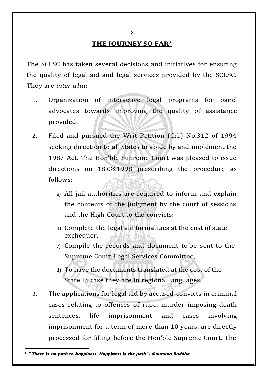#### **THE JOURNEY SO FAR<sup>3</sup>**

The SCLSC has taken several decisions and initiatives for ensuring the quality of legal aid and legal services provided by the SCLSC. They are *inter alia*: -

- 1. Organization of interactive legal programs for panel advocates towards improving the quality of assistance provided.
- 2. Filed and pursued the Writ Petition (Crl.) No.312 of 1994 seeking direction to all States to abide by and implement the 1987 Act. The Hon'ble Supreme Court was pleased to issue directions on 18.08.1998 prescribing the procedure as follows:
	- a) All jail authorities are required to inform and explain the contents of the judgment by the court of sessions and the High Court to the convicts;
	- b) Complete the legal aid formalities at the cost of state exchequer;
	- c) Compile the records and document to be sent to the Supreme Court Legal Services Committee;
	- d) To have the documents translated at the cost of the State in case they are in regional languages.
- 3. The applications for legal aid by accused-convicts in criminal cases relating to offences of rape, murder imposing death sentences, life imprisonment and cases involving imprisonment for a term of more than 10 years, are directly processed for filling before the Hon'ble Supreme Court. The

<sup>3</sup> " *There is no path to happiness. Happiness is the path"- Gautama Buddha*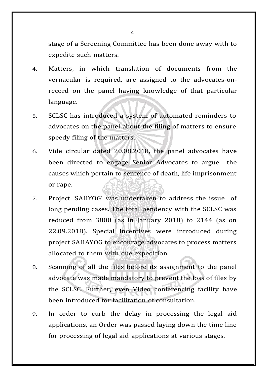stage of a Screening Committee has been done away with to expedite such matters.

- 4. Matters, in which translation of documents from the vernacular is required, are assigned to the advocates-onrecord on the panel having knowledge of that particular language.
- 5. SCLSC has introduced a system of automated reminders to advocates on the panel about the filing of matters to ensure speedy filing of the matters.
- 6. Vide circular dated 20.08.2018, the panel advocates have been directed to engage Senior Advocates to argue the causes which pertain to sentence of death, life imprisonment or rape.
- 7. Project 'SAHYOG' was undertaken to address the issue of long pending cases. The total pendency with the SCLSC was reduced from 3800 (as in January 2018) to 2144 (as on 22.09.2018). Special incentives were introduced during project SAHAYOG to encourage advocates to process matters allocated to them with due expedition.
- 8. Scanning of all the files before its assignment to the panel advocate was made mandatory to prevent the loss of files by the SCLSC. Further, even Video conferencing facility have been introduced for facilitation of consultation.
- 9. In order to curb the delay in processing the legal aid applications, an Order was passed laying down the time line for processing of legal aid applications at various stages.

 $\boldsymbol{\Delta}$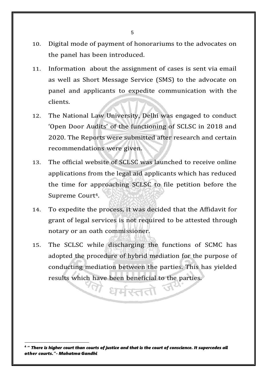- 10. Digital mode of payment of honorariums to the advocates on the panel has been introduced.
- 11. Information about the assignment of cases is sent via email as well as Short Message Service (SMS) to the advocate on panel and applicants to expedite communication with the clients.
- 12. The National Law University, Delhi was engaged to conduct 'Open Door Audits' of the functioning of SCLSC in 2018 and 2020. The Reports were submitted after research and certain recommendations were given.
- 13. The official website of SCLSC was launched to receive online applications from the legal aid applicants which has reduced the time for approaching SCLSC to file petition before the Supreme Court<sup>4</sup>.
- 14. To expedite the process, it was decided that the Affidavit for grant of legal services is not required to be attested through notary or an oath commissioner.
- 15. The SCLSC while discharging the functions of SCMC has adopted the procedure of hybrid mediation for the purpose of conducting mediation between the parties. This has yielded results which have been beneficial to the parties.

धर्मरततो

<sup>4</sup> " *There is higher court than courts of justice and that is the court of conscience. It supercedes all other courts."- Mahatma Gandhi*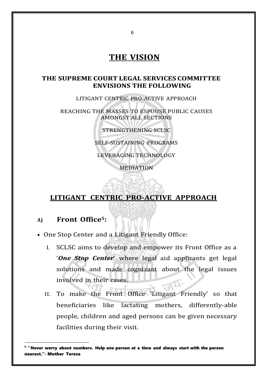## **THE VISION**

#### **THE SUPREME COURT LEGAL SERVICES COMMITTEE ENVISIONS THE FOLLOWING**

LITIGANT CENTRIC PRO-ACTIVE APPROACH

REACHING THE MASSES TO ESPOUSE PUBLIC CAUSES AMONGST ALL SECTIONS

STRENGTHENING SCLSC

SELF-SUSTAINING PROGRAMS

LEVERAGING TECHNOLOGY

MEDIATION

## **LITIGANT CENTRIC PRO-ACTIVE APPROACH**

#### **A) Front Office5:**

• One Stop Center and a Litigant Friendly Office:

- I. SCLSC aims to develop and empower its Front Office as a '*One Stop Center*' where legal aid applicants get legal solutions and made cognizant about the legal issues involved in their cases.
- II. To make the Front Office 'Litigant Friendly' so that beneficiaries like lactating mothers, differently-able people, children and aged persons can be given necessary facilities during their visit.

 $^{\mathrm{5}}$  " Never worry about numbers. Help one person at a time and always start with the person nearest."- Mother Teresa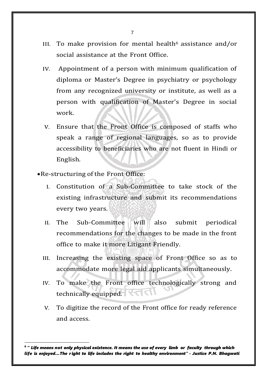- III. To make provision for mental health<sup>6</sup> assistance and/or social assistance at the Front Office.
- IV. Appointment of a person with minimum qualification of diploma or Master's Degree in psychiatry or psychology from any recognized university or institute, as well as a person with qualification of Master's Degree in social work.
- V. Ensure that the Front Office is composed of staffs who speak a range of regional languages, so as to provide accessibility to beneficiaries who are not fluent in Hindi or English.

•Re-structuring of the Front Office:

- I. Constitution of a Sub-Committee to take stock of the existing infrastructure and submit its recommendations every two years.
- II. The Sub-Committee will also submit periodical recommendations for the changes to be made in the front office to make it more Litigant Friendly.
- III. Increasing the existing space of Front Office so as to accommodate more legal aid applicants simultaneously.
- IV. To make the Front office technologically strong and technically equipped.
- V. To digitize the record of the Front office for ready reference and access.

<sup>6</sup> " *Life means not only physical existence. It means the use of every limb or faculty through which life is enjoyed…The r ight to life includes the right to healthy environment" - Justice P.N. Bhagwati*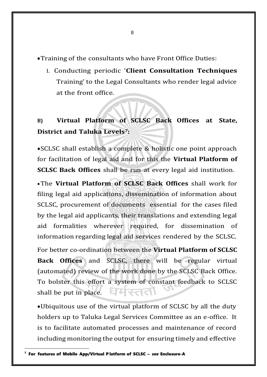•Training of the consultants who have Front Office Duties:

I. Conducting periodic '**Client Consultation Techniques** Training' to the Legal Consultants who render legal advice at the front office.

## **B) Virtual Platform of SCLSC Back Offices at State, District and Taluka Levels***7***:**

•SCLSC shall establish a complete & holistic one point approach for facilitation of legal aid and for this the **Virtual Platform of SCLSC Back Offices** shall be run at every legal aid institution.

•The **Virtual Platform of SCLSC Back Offices** shall work for filing legal aid applications, dissemination of information about SCLSC, procurement of documents essential for the cases filed by the legal aid applicants, their translations and extending legal aid formalities wherever required, for dissemination of information regarding legal aid services rendered by the SCLSC.

For better co-ordination between the **Virtual Platform of SCLSC Back Offices** and SCLSC, there will be regular virtual (automated) review of the work done by the SCLSC Back Office. To bolster this effort a system of constant feedback to SCLSC धमरतत shall be put in place.

•Ubiquitous use of the virtual platform of SCLSC by all the duty holders up to Taluka Legal Services Committee as an e-office. It is to facilitate automated processes and maintenance of record including monitoring the output for ensuring timely and effective

<sup>7</sup> For features of Mobile App/Virtual P latform of SCLSC – *see* Enclosure-A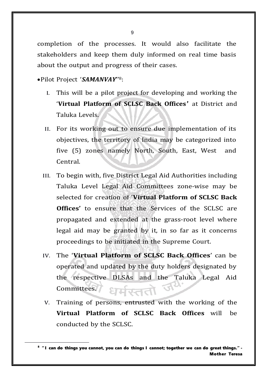completion of the processes. It would also facilitate the stakeholders and keep them duly informed on real time basis about the output and progress of their cases.

•Pilot Project '*SAMANVAY*'' 8 :

- I. This will be a pilot project for developing and working the '**Virtual Platform of SCLSC Back Offices***'* at District and Taluka Levels.
- II. For its working out to ensure due implementation of its objectives, the territory of India may be categorized into five (5) zones namely North, South, East, West and Central.
- III. To begin with, five District Legal Aid Authorities including Taluka Level Legal Aid Committees zone-wise may be selected for creation of '**Virtual Platform of SCLSC Back Offices'** to ensure that the Services of the SCLSC are propagated and extended at the grass-root level where legal aid may be granted by it, in so far as it concerns proceedings to be initiated in the Supreme Court.
- IV. The '**Virtual Platform of SCLSC Back Offices**' can be operated and updated by the duty holders designated by the respective DLSAs and the Taluka Legal Aid Committees. **STRIVAD**
- V. Training of persons, entrusted with the working of the **Virtual Platform of SCLSC Back Offices** will be conducted by the SCLSC.

<sup>&</sup>lt;sup>8</sup> "I can do things you cannot, you can do things I cannot; together we can do great things." -Mother Teresa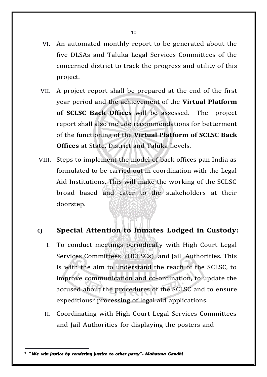- VI. An automated monthly report to be generated about the five DLSAs and Taluka Legal Services Committees of the concerned district to track the progress and utility of this project.
- VII. A project report shall be prepared at the end of the first year period and the achievement of the **Virtual Platform of SCLSC Back Offices** will be assessed. The project report shall also include recommendations for betterment of the functioning of the **Virtual Platform of SCLSC Back Offices** at State, District and Taluka Levels.
- VIII. Steps to implement the model of back offices pan India as formulated to be carried out in coordination with the Legal Aid Institutions. This will make the working of the SCLSC broad based and cater to the stakeholders at their doorstep.

#### **C) Special Attention to Inmates Lodged in Custody:**

- I. To conduct meetings periodically with High Court Legal Services Committees (HCLSCs) and Jail Authorities. This is with the aim to understand the reach of the SCLSC, to improve communication and co-ordination, to update the accused about the procedures of the SCLSC and to ensure expeditious<sup>9</sup> processing of legal aid applications.
- II. Coordinating with High Court Legal Services Committees and Jail Authorities for displaying the posters and

<sup>9</sup> " *We win justice by rendering justice to other party"- Mahatma Gandhi*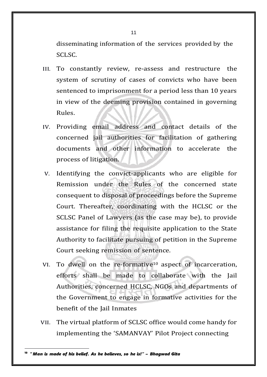disseminating information of the services provided by the SCLSC.

- III. To constantly review, re-assess and restructure the system of scrutiny of cases of convicts who have been sentenced to imprisonment for a period less than 10 years in view of the deeming provision contained in governing Rules.
- IV. Providing email address and contact details of the concerned jail authorities for facilitation of gathering documents and other information to accelerate the process of litigation.
- V. Identifying the convict-applicants who are eligible for Remission under the Rules of the concerned state consequent to disposal of proceedings before the Supreme Court. Thereafter, coordinating with the HCLSC or the SCLSC Panel of Lawyers (as the case may be), to provide assistance for filing the requisite application to the State Authority to facilitate pursuing of petition in the Supreme Court seeking remission of sentence.
- VI. To dwell on the re-formative<sup>10</sup> aspect of incarceration, efforts shall be made to collaborate with the Jail Authorities, concerned HCLSC, NGOs and departments of the Government to engage in formative activities for the benefit of the Jail Inmates
- VII. The virtual platform of SCLSC office would come handy for implementing the 'SAMANVAY' Pilot Project connecting

<sup>10</sup> *" Man is made of his belief. As he believes, so he is!" – Bhagwad Gita*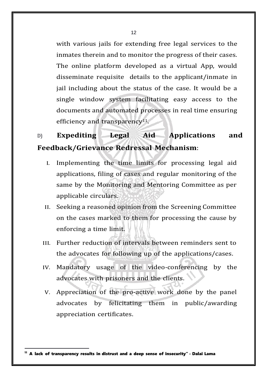with various jails for extending free legal services to the inmates therein and to monitor the progress of their cases. The online platform developed as a virtual App, would disseminate requisite details to the applicant/inmate in jail including about the status of the case. It would be a single window system facilitating easy access to the documents and automated processes in real time ensuring efficiency and transparency<sup>11</sup>.

D) **Expediting Legal Aid Applications and Feedback/Grievance Redressal Mechanism**:

- I. Implementing the time limits for processing legal aid applications, filing of cases and regular monitoring of the same by the Monitoring and Mentoring Committee as per applicable circulars.
- II. Seeking a reasoned opinion from the Screening Committee on the cases marked to them for processing the cause by enforcing a time limit.
- III. Further reduction of intervals between reminders sent to the advocates for following up of the applications/cases.
- IV. Mandatory usage of the video-conferencing by the advocates with prisoners and the clients.
- V. Appreciation of the pro-active work done by the panel advocates by felicitating them in public/awarding appreciation certificates.

<sup>11</sup> A lack of transparency results in distrust and a deep sense of insecurity" - Dalai Lama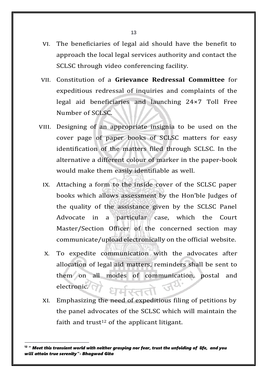- VI. The beneficiaries of legal aid should have the benefit to approach the local legal services authority and contact the SCLSC through video conferencing facility.
- VII. Constitution of a **Grievance Redressal Committee** for expeditious redressal of inquiries and complaints of the legal aid beneficiaries and launching 24×7 Toll Free Number of SCLSC.
- VIII. Designing of an appropriate insignia to be used on the cover page of paper books of SCLSC matters for easy identification of the matters filed through SCLSC. In the alternative a different colour of marker in the paper-book would make them easily identifiable as well.
	- IX. Attaching a form to the inside cover of the SCLSC paper books which allows assessment by the Hon'ble Judges of the quality of the assistance given by the SCLSC Panel Advocate in a particular case, which the Court Master/Section Officer of the concerned section may communicate/upload electronically on the official website.
	- X. To expedite communication with the advocates after allocation of legal aid matters, reminders shall be sent to them on all modes of communication, postal and electronic.
	- XI. Emphasizing the need of expeditious filing of petitions by the panel advocates of the SCLSC which will maintain the faith and trust<sup>12</sup> of the applicant litigant.

<sup>12</sup> " *Meet this transient world with neither grasping nor fear, trust the unfolding of life, and you will attain true serenity"- Bhagwad Gita*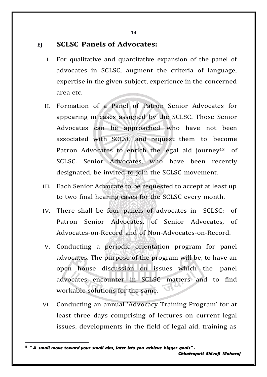**E) SCLSC Panels of Advocates:**

- I. For qualitative and quantitative expansion of the panel of advocates in SCLSC, augment the criteria of language, expertise in the given subject, experience in the concerned area etc.
- II. Formation of a Panel of Patron Senior Advocates for appearing in cases assigned by the SCLSC. Those Senior Advocates can be approached who have not been associated with SCLSC and request them to become Patron Advocates to enrich the legal aid journey<sup>13</sup> of SCLSC. Senior Advocates, who have been recently designated, be invited to join the SCLSC movement.
- III. Each Senior Advocate to be requested to accept at least up to two final hearing cases for the SCLSC every month.
- IV. There shall be four panels of advocates in SCLSC: of Patron Senior Advocates, of Senior Advocates, of Advocates-on-Record and of Non-Advocates-on-Record.
- V. Conducting a periodic orientation program for panel advocates. The purpose of the program will be, to have an open house discussion on issues which the panel advocates encounter in SCLSC matters and to find workable solutions for the same.
- VI. Conducting an annual 'Advocacy Training Program' for at least three days comprising of lectures on current legal issues, developments in the field of legal aid, training as

<sup>13</sup> " *A small move toward your small aim, later lets you achieve bigger goals" - Chhatrapati Shivaji Maharaj*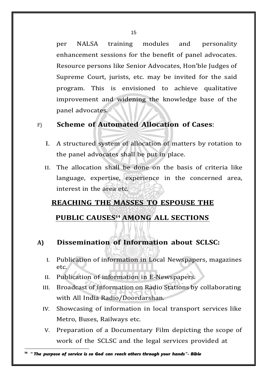per NALSA training modules and personality enhancement sessions for the benefit of panel advocates. Resource persons like Senior Advocates, Hon'ble Judges of Supreme Court, jurists, etc. may be invited for the said program. This is envisioned to achieve qualitative improvement and widening the knowledge base of the panel advocates.

## F) **Scheme of Automated Allocation of Cases**:

- I. A structured system of allocation of matters by rotation to the panel advocates shall be put in place.
- II. The allocation shall be done on the basis of criteria like language, expertise, experience in the concerned area, interest in the area etc.

## **REACHING THE MASSES TO ESPOUSE THE**

## **PUBLIC CAUSES<sup>14</sup> AMONG ALL SECTIONS**

- **A) Dissemination of Information about SCLSC:**
	- I. Publication of information in Local Newspapers, magazines etc.
	- II. Publication of information in E-Newspapers.
	- III. Broadcast of information on Radio Stations by collaborating with All India Radio/Doordarshan.
	- IV. Showcasing of information in local transport services like Metro, Buses, Railways etc.
	- V. Preparation of a Documentary Film depicting the scope of work of the SCLSC and the legal services provided at

<sup>14</sup> " *The purpose of service is so God can reach others through your hands"- Bible*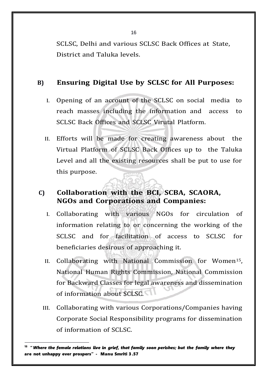16

SCLSC, Delhi and various SCLSC Back Offices at State, District and Taluka levels.

### **B) Ensuring Digital Use by SCLSC for All Purposes:**

- I. Opening of an account of the SCLSC on social media to reach masses including the information and access to SCLSC Back Offices and SCLSC Virutal Platform.
- II. Efforts will be made for creating awareness about the Virtual Platform of SCLSC Back Offices up to the Taluka Level and all the existing resources shall be put to use for this purpose. wan

## **C) Collaboration with the BCI, SCBA, SCAORA, NGOs and Corporations and Companies:**

- I. Collaborating with various NGOs for circulation of information relating to or concerning the working of the SCLSC and for facilitation of access to SCLSC for beneficiaries desirous of approaching it.
- II. Collaborating with National Commission for Women15, National Human Rights Commission, National Commission for Backward Classes for legal awareness and dissemination of information about SCLSC.
- III. Collaborating with various Corporations/Companies having Corporate Social Responsibility programs for dissemination of information of SCLSC.

<sup>15</sup> *" Where the female relations live in grief, that family soon perishes; but the family where they* are not unhappy ever prospers" - Manu Smriti 3.57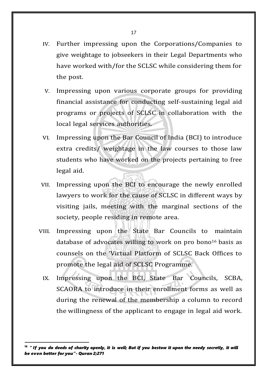- IV. Further impressing upon the Corporations/Companies to give weightage to jobseekers in their Legal Departments who have worked with/for the SCLSC while considering them for the post.
- V. Impressing upon various corporate groups for providing financial assistance for conducting self-sustaining legal aid programs or projects of SCLSC in collaboration with the local legal services authorities.
- VI. Impressing upon the Bar Council of India (BCI) to introduce extra credits/ weightage in the law courses to those law students who have worked on the projects pertaining to free legal aid.
- VII. Impressing upon the BCI to encourage the newly enrolled lawyers to work for the cause of SCLSC in different ways by visiting jails, meeting with the marginal sections of the society, people residing in remote area.
- VIII. Impressing upon the State Bar Councils to maintain database of advocates willing to work on pro bono<sup>16</sup> basis as counsels on the 'Virtual Platform of SCLSC Back Offices to promote the legal aid of SCLSC Programme.
	- IX. Impressing upon the BCI, State Bar Councils, SCBA, SCAORA to introduce in their enrollment forms as well as during the renewal of the membership a column to record the willingness of the applicant to engage in legal aid work.

 $16$  " If you do deeds of charity openly, it is well; But if you bestow it upon the needy secretly, it will *be even better for you"- Quran 2;271*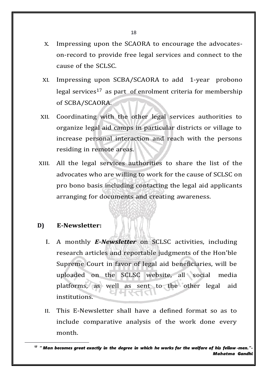- X. Impressing upon the SCAORA to encourage the advocateson-record to provide free legal services and connect to the cause of the SCLSC.
- XI. Impressing upon SCBA/SCAORA to add 1-year probono legal services<sup>17</sup> as part of enrolment criteria for membership of SCBA/SCAORA.
- XII. Coordinating with the other legal services authorities to organize legal aid camps in particular districts or village to increase personal interaction and reach with the persons residing in remote areas.
- XIII. All the legal services authorities to share the list of the advocates who are willing to work for the cause of SCLSC on pro bono basis including contacting the legal aid applicants arranging for documents and creating awareness.

#### **D) E-Newsletter:**

- I. A monthly *E-Newsletter* on SCLSC activities, including research articles and reportable judgments of the Hon'ble Supreme Court in favor of legal aid beneficiaries, will be uploaded on the SCLSC website, all social media platforms, as well as sent to the other legal aid institutions.
- II. This E-Newsletter shall have a defined format so as to include comparative analysis of the work done every month.

 $17$  " Man becomes great exactly in the degree in which he works for the welfare of his fellow-men."-*Mahatma Gandhi*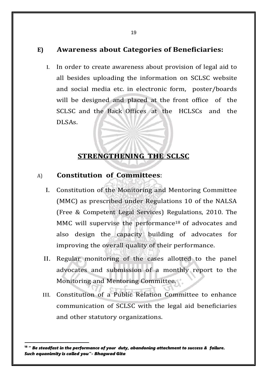#### **E) Awareness about Categories of Beneficiaries:**

I. In order to create awareness about provision of legal aid to all besides uploading the information on SCLSC website and social media etc. in electronic form, poster/boards will be designed and placed at the front office of the SCLSC and the Back Offices at the HCLSCs and the DLSAs.

## **STRENGTHENING THE SCLSC**

#### A) **Constitution of Committees**:

- I. Constitution of the Monitoring and Mentoring Committee (MMC) as prescribed under Regulations 10 of the NALSA (Free & Competent Legal Services) Regulations, 2010. The MMC will supervise the performance<sup>18</sup> of advocates and also design the capacity building of advocates for improving the overall quality of their performance.
- II. Regular monitoring of the cases allotted to the panel advocates and submission of a monthly report to the Monitoring and Mentoring Committee.
- III. Constitution of a Public Relation Committee to enhance communication of SCLSC with the legal aid beneficiaries and other statutory organizations.

<sup>18</sup> " *Be steadfast in the performance of your duty, abandoning attachment to success & failure. Such equanimity is called you"- Bhagwad Gita*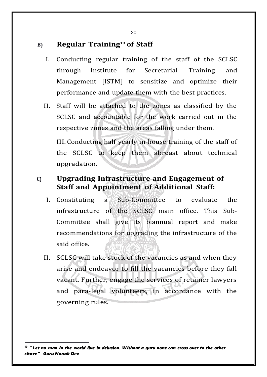## **B) Regular Training<sup>19</sup> of Staff**

- I. Conducting regular training of the staff of the SCLSC through Institute for Secretarial Training and Management [ISTM] to sensitize and optimize their performance and update them with the best practices.
- II. Staff will be attached to the zones as classified by the SCLSC and accountable for the work carried out in the respective zones and the areas falling under them.

III.Conducting half yearly in-house training of the staff of the SCLSC to keep them abreast about technical upgradation.

## **C) Upgrading Infrastructure and Engagement of Staff and Appointment of Additional Staff:**

- I. Constituting a Sub-Committee to evaluate the infrastructure of the SCLSC main office. This Sub-Committee shall give its biannual report and make recommendations for upgrading the infrastructure of the said office.
- II. SCLSC will take stock of the vacancies as and when they arise and endeavor to fill the vacancies before they fall vacant. Further, engage the services of retainer lawyers and para-legal volunteers, in accordance with the governing rules.

 $^{\rm 19}$  " Let no man in the world live in delusion. Without a guru none can cross over to the other *shore"- Guru Nanak Dev*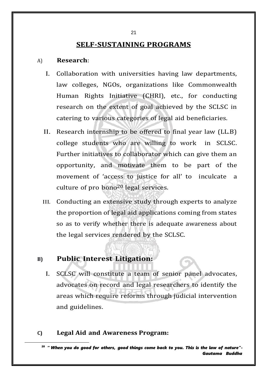## **SELF-SUSTAINING PROGRAMS**

#### A) **Research**:

- I. Collaboration with universities having law departments, law colleges, NGOs, organizations like Commonwealth Human Rights Initiative (CHRI), etc., for conducting research on the extent of goal achieved by the SCLSC in catering to various categories of legal aid beneficiaries.
- II. Research internship to be offered to final year law (LL.B) college students who are willing to work in SCLSC. Further initiatives to collaborator which can give them an opportunity, and motivate them to be part of the movement of 'access to justice for all' to inculcate a culture of pro bono20 legal services.
- III. Conducting an extensive study through experts to analyze the proportion of legal aid applications coming from states so as to verify whether there is adequate awareness about the legal services rendered by the SCLSC.

#### **B) Public Interest Litigation:**

I. SCLSC will constitute a team of senior panel advocates, advocates on record and legal researchers to identify the areas which require reforms through judicial intervention and guidelines.

#### **C) Legal Aid and Awareness Program:**

<sup>20</sup> " *When you do good for others, good things come back to you. This is the law of nature"- Gautama Buddha*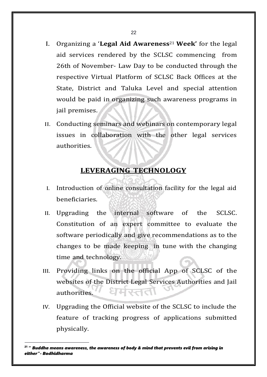- I. Organizing a '**Legal Aid Awareness**21 **Week'** for the legal aid services rendered by the SCLSC commencing from 26th of November- Law Day to be conducted through the respective Virtual Platform of SCLSC Back Offices at the State, District and Taluka Level and special attention would be paid in organizing such awareness programs in jail premises.
- II. Conducting seminars and webinars on contemporary legal issues in collaboration with the other legal services authorities.

#### **LEVERAGING TECHNOLOGY**

- I. Introduction of online consultation facility for the legal aid beneficiaries.
- II. Upgrading the internal software of the SCLSC. Constitution of an expert committee to evaluate the software periodically and give recommendations as to the changes to be made keeping in tune with the changing time and technology.
- III. Providing links on the official App of SCLSC of the websites of the District Legal Services Authorities and Jail सरतत authorities.
- IV. Upgrading the Official website of the SCLSC to include the feature of tracking progress of applications submitted physically.

<sup>21</sup> " *Buddha means awareness, the awareness of body & mind that prevents evil from arising in either"- Bodhidharma*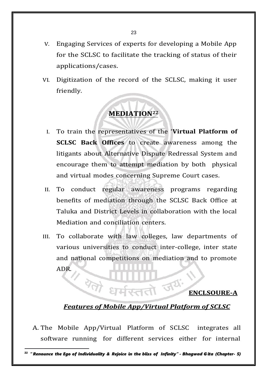- V. Engaging Services of experts for developing a Mobile App for the SCLSC to facilitate the tracking of status of their applications/cases.
- VI. Digitization of the record of the SCLSC, making it user friendly.

## **MEDIATION<sup>22</sup>**

- I. To train the representatives of the '**Virtual Platform of SCLSC Back Offices** to create awareness among the litigants about Alternative Dispute Redressal System and encourage them to attempt mediation by both physical and virtual modes concerning Supreme Court cases.
- II. To conduct regular awareness programs regarding benefits of mediation through the SCLSC Back Office at Taluka and District Levels in collaboration with the local Mediation and conciliation centers.
- III. To collaborate with law colleges, law departments of various universities to conduct inter-college, inter state and national competitions on mediation and to promote ADR.

#### **ENCLSOURE-A**

#### *Features of Mobile App/Virtual Platform of SCLSC*

धर्मरततो जय

A. The Mobile App/Virtual Platform of SCLSC integrates all software running for different services either for internal

 $^{22}$  "Renounce the Ego of Individuality & Rejoice in the bliss of Infinity" - Bhagwad Gita (Chapter- 5)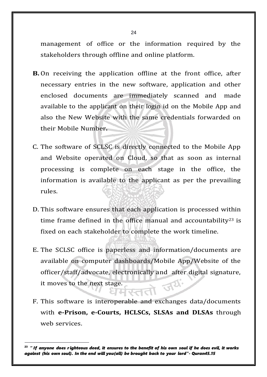management of office or the information required by the stakeholders through offline and online platform.

- **B.** On receiving the application offline at the front office, after necessary entries in the new software, application and other enclosed documents are immediately scanned and made available to the applicant on their login id on the Mobile App and also the New Website with the same credentials forwarded on their Mobile Number**.**
- C. The software of SCLSC is directly connected to the Mobile App and Website operated on Cloud, so that as soon as internal processing is complete on each stage in the office, the information is available to the applicant as per the prevailing rules.
- D. This software ensures that each application is processed within time frame defined in the office manual and accountability<sup>23</sup> is fixed on each stakeholder to complete the work timeline.
- E. The SCLSC office is paperless and information/documents are available on computer dashboards/Mobile App/Website of the officer/staff/advocate, electronically and after digital signature, FU. it moves to the next stage.
- F. This software is interoperable and exchanges data/documents with **e-Prison, e-Courts, HCLSCs, SLSAs and DLSAs** through web services.

 $23$  "If anyone does righteous deed, it ensures to the benefit of his own soul if he does evil, it works *against (his own soul). In the end will you(all) be brought back to your lord"- Quran45.15*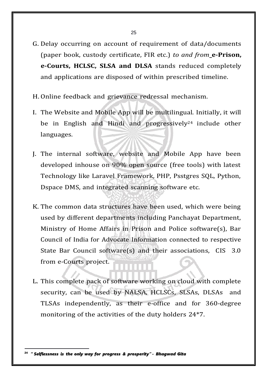- G. Delay occurring on account of requirement of data/documents (paper book, custody certificate, FIR etc.) *to and from* **e-Prison, e-Courts, HCLSC, SLSA and DLSA** stands reduced completely and applications are disposed of within prescribed timeline.
- H. Online feedback and grievance redressal mechanism.
- I. The Website and Mobile App will be multilingual. Initially, it will be in English and Hindi and progressively<sup>24</sup> include other languages.
- J. The internal software, website and Mobile App have been developed inhouse on 90% open source (free tools) with latest Technology like Laravel Framework, PHP, Psstgres SQL, Python, Dspace DMS, and integrated scanning software etc.
- K. The common data structures have been used, which were being used by different departments including Panchayat Department, Ministry of Home Affairs in Prison and Police software(s), Bar Council of India for Advocate Information connected to respective State Bar Council software(s) and their associations, CIS 3.0 from e-Courts project.
- L. This complete pack of software working on cloud with complete security, can be used by NALSA, HCLSCs, SLSAs, DLSAs and TLSAs independently, as their e-office and for 360-degree monitoring of the activities of the duty holders 24\*7.

<sup>24</sup> " *Selflessness is the only way for progress & prosperity" - Bhagwad Gita*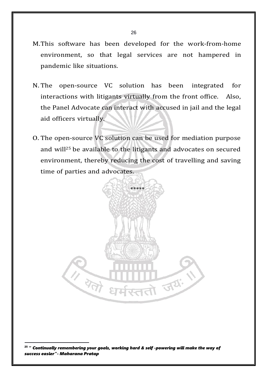- M.This software has been developed for the work-from-home environment, so that legal services are not hampered in pandemic like situations.
- N. The open-source VC solution has been integrated for interactions with litigants virtually from the front office. Also, the Panel Advocate can interact with accused in jail and the legal aid officers virtually.
- O. The open-source VC solution can be used for mediation purpose and will25 be available to the litigants and advocates on secured environment, thereby reducing the cost of travelling and saving time of parties and advocates.



<sup>25</sup> " *Continually remembering your goals, working hard & self -powering will make the way of success easier"- Maharana Pratap*